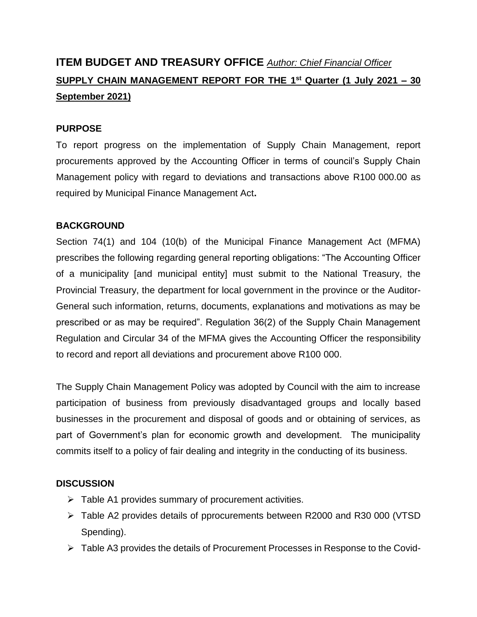# **ITEM BUDGET AND TREASURY OFFICE** *Author: Chief Financial Officer* **SUPPLY CHAIN MANAGEMENT REPORT FOR THE 1 st Quarter (1 July 2021 – 30 September 2021)**

#### **PURPOSE**

To report progress on the implementation of Supply Chain Management, report procurements approved by the Accounting Officer in terms of council's Supply Chain Management policy with regard to deviations and transactions above R100 000.00 as required by Municipal Finance Management Act**.**

#### **BACKGROUND**

Section 74(1) and 104 (10(b) of the Municipal Finance Management Act (MFMA) prescribes the following regarding general reporting obligations: "The Accounting Officer of a municipality [and municipal entity] must submit to the National Treasury, the Provincial Treasury, the department for local government in the province or the Auditor-General such information, returns, documents, explanations and motivations as may be prescribed or as may be required". Regulation 36(2) of the Supply Chain Management Regulation and Circular 34 of the MFMA gives the Accounting Officer the responsibility to record and report all deviations and procurement above R100 000.

The Supply Chain Management Policy was adopted by Council with the aim to increase participation of business from previously disadvantaged groups and locally based businesses in the procurement and disposal of goods and or obtaining of services, as part of Government's plan for economic growth and development. The municipality commits itself to a policy of fair dealing and integrity in the conducting of its business.

#### **DISCUSSION**

- $\triangleright$  Table A1 provides summary of procurement activities.
- Table A2 provides details of pprocurements between R2000 and R30 000 (VTSD Spending).
- Table A3 provides the details of Procurement Processes in Response to the Covid-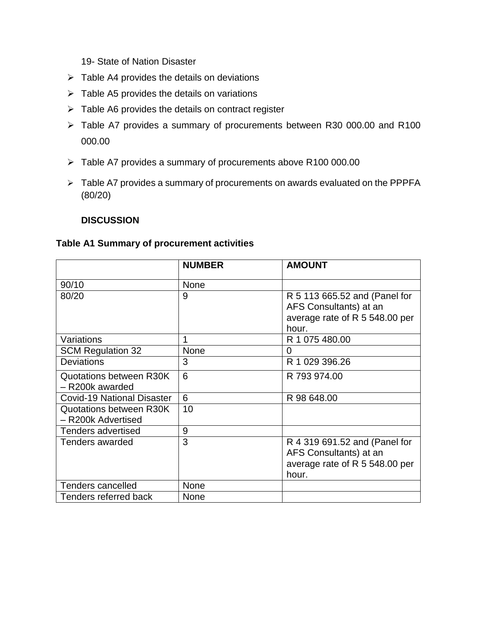19- State of Nation Disaster

- $\triangleright$  Table A4 provides the details on deviations
- $\triangleright$  Table A5 provides the details on variations
- $\triangleright$  Table A6 provides the details on contract register
- Table A7 provides a summary of procurements between R30 000.00 and R100 000.00
- > Table A7 provides a summary of procurements above R100 000.00
- > Table A7 provides a summary of procurements on awards evaluated on the PPPFA (80/20)

#### **DISCUSSION**

#### **Table A1 Summary of procurement activities**

|                                               | <b>NUMBER</b> | <b>AMOUNT</b>                                                                                      |
|-----------------------------------------------|---------------|----------------------------------------------------------------------------------------------------|
| 90/10                                         | None          |                                                                                                    |
| 80/20                                         | 9             | R 5 113 665.52 and (Panel for<br>AFS Consultants) at an<br>average rate of R 5 548.00 per<br>hour. |
| Variations                                    | 1             | R 1 075 480.00                                                                                     |
| <b>SCM Regulation 32</b>                      | None          | 0                                                                                                  |
| <b>Deviations</b>                             | 3             | R 1 029 396.26                                                                                     |
| Quotations between R30K<br>- R200k awarded    | 6             | R 793 974.00                                                                                       |
| <b>Covid-19 National Disaster</b>             | 6             | R 98 648.00                                                                                        |
| Quotations between R30K<br>- R200k Advertised | 10            |                                                                                                    |
| <b>Tenders advertised</b>                     | 9             |                                                                                                    |
| Tenders awarded                               | 3             | R 4 319 691.52 and (Panel for<br>AFS Consultants) at an<br>average rate of R 5 548.00 per<br>hour. |
| Tenders cancelled                             | None          |                                                                                                    |
| Tenders referred back                         | None          |                                                                                                    |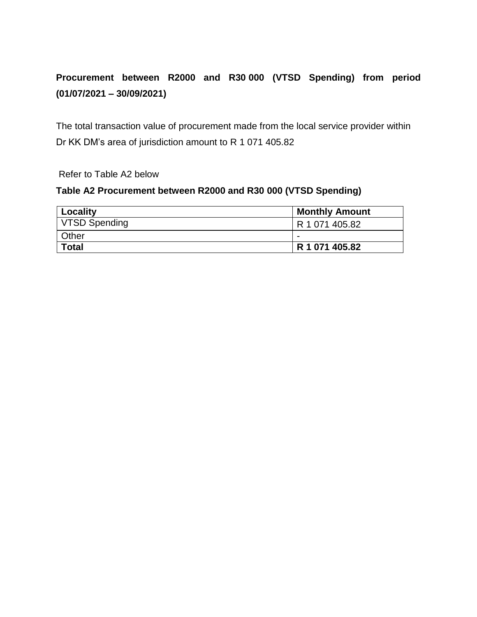## **Procurement between R2000 and R30 000 (VTSD Spending) from period (01/07/2021 – 30/09/2021)**

The total transaction value of procurement made from the local service provider within Dr KK DM's area of jurisdiction amount to R 1 071 405.82

Refer to Table A2 below

#### **Table A2 Procurement between R2000 and R30 000 (VTSD Spending)**

| Locality             | <b>Monthly Amount</b> |
|----------------------|-----------------------|
| <b>VTSD Spending</b> | R 1 071 405.82        |
| <b>Other</b>         | -                     |
| ∣ Total              | R 1 071 405.82        |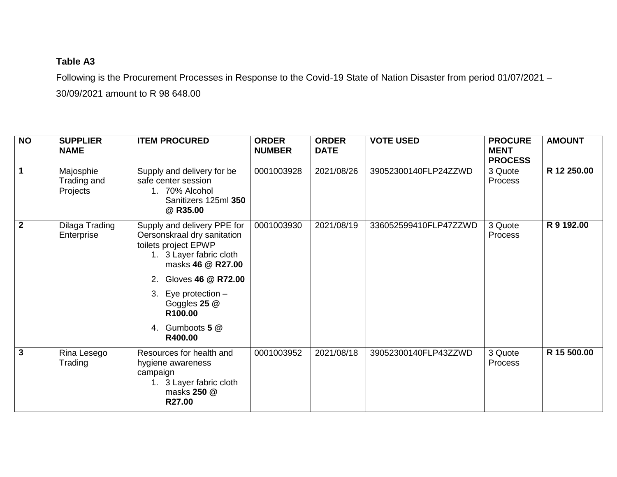## **Table A3**

Following is the Procurement Processes in Response to the Covid-19 State of Nation Disaster from period 01/07/2021 – 30/09/2021 amount to R 98 648.00

| N <sub>O</sub>          | <b>SUPPLIER</b><br><b>NAME</b>       | <b>ITEM PROCURED</b>                                                                                                                                                                                                                                | <b>ORDER</b><br><b>NUMBER</b> | <b>ORDER</b><br><b>DATE</b> | <b>VOTE USED</b>      | <b>PROCURE</b><br><b>MENT</b><br><b>PROCESS</b> | <b>AMOUNT</b> |
|-------------------------|--------------------------------------|-----------------------------------------------------------------------------------------------------------------------------------------------------------------------------------------------------------------------------------------------------|-------------------------------|-----------------------------|-----------------------|-------------------------------------------------|---------------|
| $\overline{1}$          | Majosphie<br>Trading and<br>Projects | Supply and delivery for be<br>safe center session<br>1. 70% Alcohol<br>Sanitizers 125ml 350<br>@ R35.00                                                                                                                                             | 0001003928                    | 2021/08/26                  | 39052300140FLP24ZZWD  | 3 Quote<br>Process                              | R 12 250.00   |
| $\overline{2}$          | Dilaga Trading<br>Enterprise         | Supply and delivery PPE for<br>Oersonskraal dry sanitation<br>toilets project EPWP<br>1. 3 Layer fabric cloth<br>masks 46 @ R27.00<br>Gloves 46 @ R72.00<br>2.<br>Eye protection $-$<br>3.<br>Goggles 25 @<br>R100.00<br>4. Gumboots 5 @<br>R400.00 | 0001003930                    | 2021/08/19                  | 336052599410FLP47ZZWD | 3 Quote<br><b>Process</b>                       | R 9 192.00    |
| $\overline{\mathbf{3}}$ | Rina Lesego<br>Trading               | Resources for health and<br>hygiene awareness<br>campaign<br>1. 3 Layer fabric cloth<br>masks 250 @<br>R27.00                                                                                                                                       | 0001003952                    | 2021/08/18                  | 39052300140FLP43ZZWD  | 3 Quote<br><b>Process</b>                       | R 15 500.00   |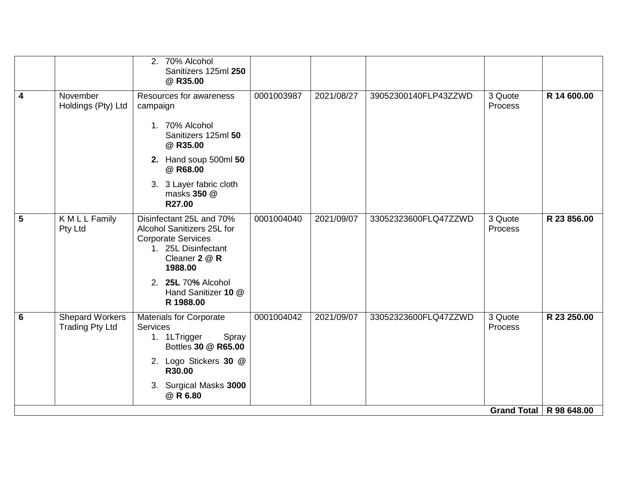|   |                                                  | 2. 70% Alcohol<br>Sanitizers 125ml 250<br>@ R35.00                                                                                                                                               |            |            |                      |                           |             |
|---|--------------------------------------------------|--------------------------------------------------------------------------------------------------------------------------------------------------------------------------------------------------|------------|------------|----------------------|---------------------------|-------------|
| 4 | November<br>Holdings (Pty) Ltd                   | Resources for awareness<br>campaign<br>1. 70% Alcohol<br>Sanitizers 125ml 50<br>@ R35.00<br>2. Hand soup 500ml 50<br>@ R68.00<br>3. 3 Layer fabric cloth<br>masks 350 @<br>R27.00                | 0001003987 | 2021/08/27 | 39052300140FLP43ZZWD | 3 Quote<br>Process        | R 14 600.00 |
| 5 | K M L L Family<br>Pty Ltd                        | Disinfectant 25L and 70%<br>Alcohol Sanitizers 25L for<br><b>Corporate Services</b><br>1. 25L Disinfectant<br>Cleaner 2 @ R<br>1988.00<br>2. 25L 70% Alcohol<br>Hand Sanitizer 10 @<br>R 1988.00 | 0001004040 | 2021/09/07 | 33052323600FLQ47ZZWD | 3 Quote<br>Process        | R 23 856.00 |
| 6 | <b>Shepard Workers</b><br><b>Trading Pty Ltd</b> | <b>Materials for Corporate</b><br>Services<br>1. 1LTrigger<br>Spray<br>Bottles 30 @ R65.00<br>2. Logo Stickers 30 @<br>R30.00<br>3. Surgical Masks 3000<br>@ R 6.80                              | 0001004042 | 2021/09/07 | 33052323600FLQ47ZZWD | 3 Quote<br>Process        | R 23 250.00 |
|   |                                                  |                                                                                                                                                                                                  |            |            |                      | Grand Total   R 98 648.00 |             |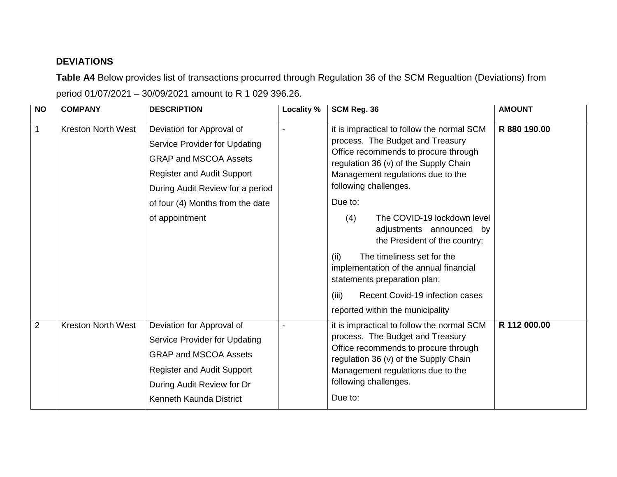## **DEVIATIONS**

**Table A4** Below provides list of transactions procurred through Regulation 36 of the SCM Regualtion (Deviations) from period 01/07/2021 – 30/09/2021 amount to R 1 029 396.26.

| $\overline{N}$ | <b>COMPANY</b>            | <b>DESCRIPTION</b>                                                                                                                                                                                      | Locality % | SCM Reg. 36                                                                                                                                                                                                                                                                                     | <b>AMOUNT</b> |
|----------------|---------------------------|---------------------------------------------------------------------------------------------------------------------------------------------------------------------------------------------------------|------------|-------------------------------------------------------------------------------------------------------------------------------------------------------------------------------------------------------------------------------------------------------------------------------------------------|---------------|
| 1              | <b>Kreston North West</b> | Deviation for Approval of<br>Service Provider for Updating<br><b>GRAP and MSCOA Assets</b><br><b>Register and Audit Support</b><br>During Audit Review for a period<br>of four (4) Months from the date |            | it is impractical to follow the normal SCM<br>process. The Budget and Treasury<br>Office recommends to procure through<br>regulation 36 (v) of the Supply Chain<br>Management regulations due to the<br>following challenges.<br>Due to:                                                        | R 880 190.00  |
|                |                           | of appointment                                                                                                                                                                                          |            | The COVID-19 lockdown level<br>(4)<br>adjustments announced by<br>the President of the country;<br>The timeliness set for the<br>(ii)<br>implementation of the annual financial<br>statements preparation plan;<br>(iii)<br>Recent Covid-19 infection cases<br>reported within the municipality |               |
| $\overline{2}$ | <b>Kreston North West</b> | Deviation for Approval of<br>Service Provider for Updating<br><b>GRAP and MSCOA Assets</b><br><b>Register and Audit Support</b><br>During Audit Review for Dr<br>Kenneth Kaunda District                |            | it is impractical to follow the normal SCM<br>process. The Budget and Treasury<br>Office recommends to procure through<br>regulation 36 (v) of the Supply Chain<br>Management regulations due to the<br>following challenges.<br>Due to:                                                        | R 112 000.00  |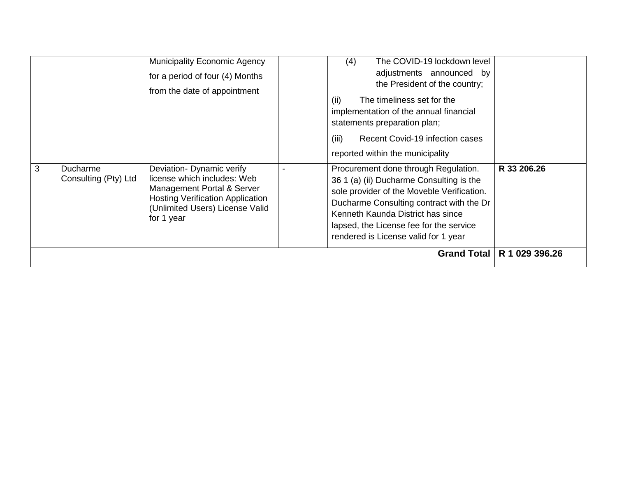|   |                                  | <b>Municipality Economic Agency</b><br>for a period of four (4) Months<br>from the date of appointment                                                                             | The COVID-19 lockdown level<br>(4)<br>adjustments announced by<br>the President of the country;<br>The timeliness set for the<br>(ii)<br>implementation of the annual financial<br>statements preparation plan;<br>Recent Covid-19 infection cases<br>(iii)<br>reported within the municipality    |                |
|---|----------------------------------|------------------------------------------------------------------------------------------------------------------------------------------------------------------------------------|----------------------------------------------------------------------------------------------------------------------------------------------------------------------------------------------------------------------------------------------------------------------------------------------------|----------------|
| 3 | Ducharme<br>Consulting (Pty) Ltd | Deviation- Dynamic verify<br>license which includes: Web<br>Management Portal & Server<br><b>Hosting Verification Application</b><br>(Unlimited Users) License Valid<br>for 1 year | Procurement done through Regulation.<br>36 1 (a) (ii) Ducharme Consulting is the<br>sole provider of the Moveble Verification.<br>Ducharme Consulting contract with the Dr<br>Kenneth Kaunda District has since<br>lapsed, the License fee for the service<br>rendered is License valid for 1 year | R 33 206.26    |
|   |                                  |                                                                                                                                                                                    | <b>Grand Total</b>                                                                                                                                                                                                                                                                                 | R 1 029 396.26 |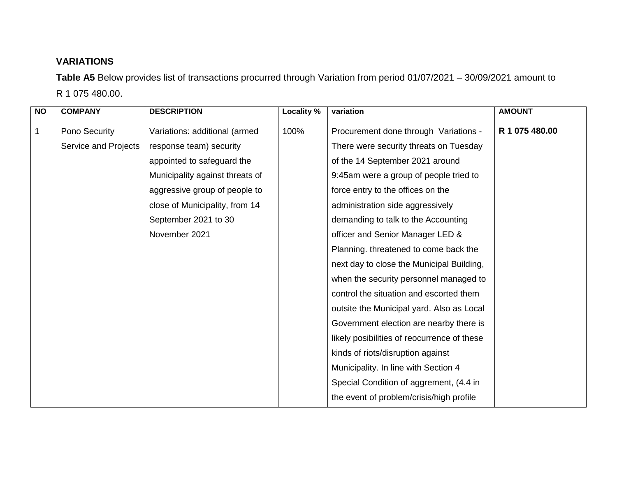## **VARIATIONS**

**Table A5** Below provides list of transactions procurred through Variation from period 01/07/2021 – 30/09/2021 amount to R 1 075 480.00.

| <b>NO</b> | <b>COMPANY</b>       | <b>DESCRIPTION</b>              | Locality % | variation                                   | <b>AMOUNT</b>  |
|-----------|----------------------|---------------------------------|------------|---------------------------------------------|----------------|
| 1         | Pono Security        | Variations: additional (armed   | 100%       | Procurement done through Variations -       | R 1 075 480.00 |
|           | Service and Projects | response team) security         |            | There were security threats on Tuesday      |                |
|           |                      | appointed to safeguard the      |            | of the 14 September 2021 around             |                |
|           |                      | Municipality against threats of |            | 9:45am were a group of people tried to      |                |
|           |                      | aggressive group of people to   |            | force entry to the offices on the           |                |
|           |                      | close of Municipality, from 14  |            | administration side aggressively            |                |
|           |                      | September 2021 to 30            |            | demanding to talk to the Accounting         |                |
|           |                      | November 2021                   |            | officer and Senior Manager LED &            |                |
|           |                      |                                 |            | Planning. threatened to come back the       |                |
|           |                      |                                 |            | next day to close the Municipal Building,   |                |
|           |                      |                                 |            | when the security personnel managed to      |                |
|           |                      |                                 |            | control the situation and escorted them     |                |
|           |                      |                                 |            | outsite the Municipal yard. Also as Local   |                |
|           |                      |                                 |            | Government election are nearby there is     |                |
|           |                      |                                 |            | likely posibilities of reocurrence of these |                |
|           |                      |                                 |            | kinds of riots/disruption against           |                |
|           |                      |                                 |            | Municipality. In line with Section 4        |                |
|           |                      |                                 |            | Special Condition of aggrement, (4.4 in     |                |
|           |                      |                                 |            | the event of problem/crisis/high profile    |                |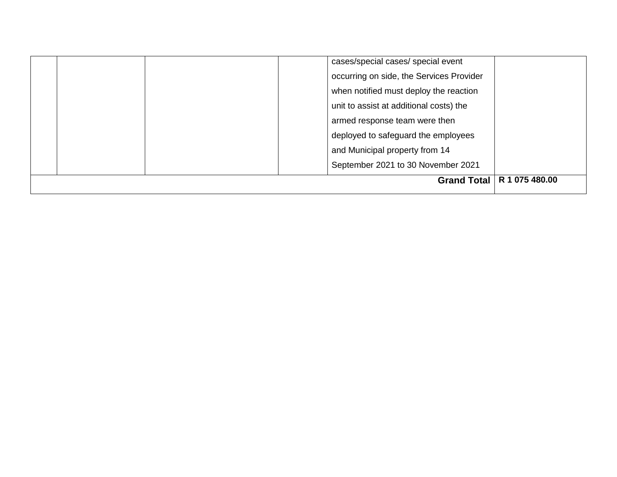|  | <b>Grand Total</b>                       | R 1 075 480.00 |
|--|------------------------------------------|----------------|
|  | September 2021 to 30 November 2021       |                |
|  | and Municipal property from 14           |                |
|  | deployed to safeguard the employees      |                |
|  | armed response team were then            |                |
|  | unit to assist at additional costs) the  |                |
|  | when notified must deploy the reaction   |                |
|  | occurring on side, the Services Provider |                |
|  | cases/special cases/ special event       |                |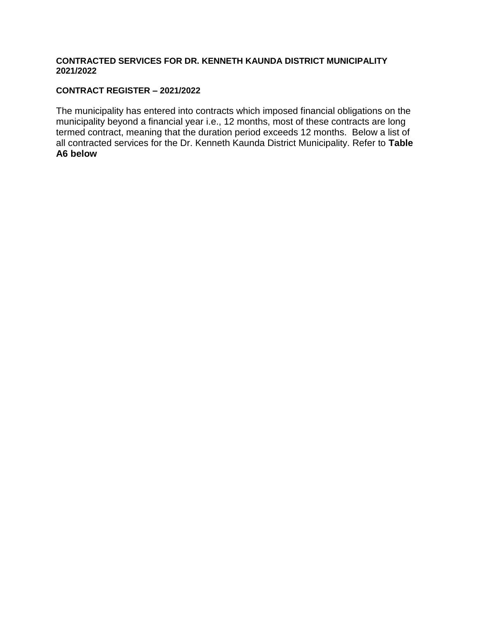#### **CONTRACTED SERVICES FOR DR. KENNETH KAUNDA DISTRICT MUNICIPALITY 2021/2022**

#### **CONTRACT REGISTER – 2021/2022**

The municipality has entered into contracts which imposed financial obligations on the municipality beyond a financial year i.e., 12 months, most of these contracts are long termed contract, meaning that the duration period exceeds 12 months. Below a list of all contracted services for the Dr. Kenneth Kaunda District Municipality. Refer to **Table A6 below**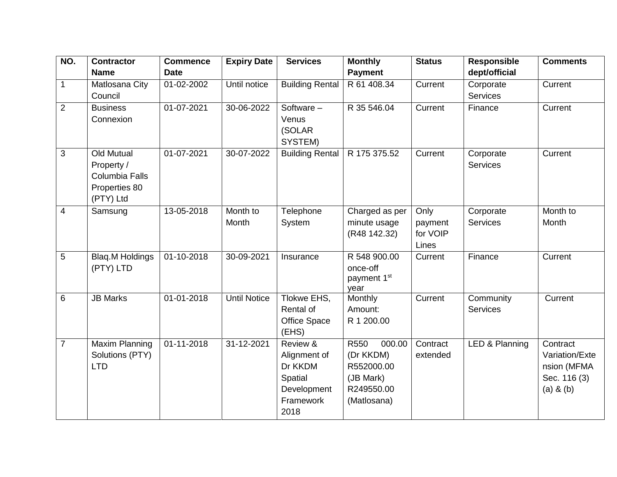| NO.            | <b>Contractor</b>      | <b>Commence</b>  | <b>Expiry Date</b>  | <b>Services</b>        | <b>Monthly</b>                      | <b>Status</b> | <b>Responsible</b> | <b>Comments</b> |
|----------------|------------------------|------------------|---------------------|------------------------|-------------------------------------|---------------|--------------------|-----------------|
|                | <b>Name</b>            | <b>Date</b>      |                     |                        | <b>Payment</b>                      |               | dept/official      |                 |
| $\mathbf{1}$   | Matlosana City         | 01-02-2002       | Until notice        | <b>Building Rental</b> | R 61 408.34                         | Current       | Corporate          | Current         |
|                | Council                |                  |                     |                        |                                     |               | Services           |                 |
| $\overline{2}$ | <b>Business</b>        | 01-07-2021       | 30-06-2022          | Software $-$           | R 35 546.04                         | Current       | Finance            | Current         |
|                | Connexion              |                  |                     | Venus                  |                                     |               |                    |                 |
|                |                        |                  |                     | (SOLAR)                |                                     |               |                    |                 |
|                |                        |                  |                     | SYSTEM)                |                                     |               |                    |                 |
| 3              | <b>Old Mutual</b>      | 01-07-2021       | 30-07-2022          | <b>Building Rental</b> | R 175 375.52                        | Current       | Corporate          | Current         |
|                | Property /             |                  |                     |                        |                                     |               | <b>Services</b>    |                 |
|                | Columbia Falls         |                  |                     |                        |                                     |               |                    |                 |
|                | Properties 80          |                  |                     |                        |                                     |               |                    |                 |
|                | (PTY) Ltd              |                  |                     |                        |                                     |               |                    |                 |
| $\overline{4}$ | Samsung                | $13 - 05 - 2018$ | Month to            | Telephone              | Charged as per                      | Only          | Corporate          | Month to        |
|                |                        |                  | Month               | System                 | minute usage                        | payment       | <b>Services</b>    | Month           |
|                |                        |                  |                     |                        | (R48 142.32)                        | for VOIP      |                    |                 |
|                |                        |                  |                     |                        |                                     | Lines         |                    |                 |
| 5              | <b>Blaq.M Holdings</b> | $01 - 10 - 2018$ | 30-09-2021          | Insurance              | R 548 900.00                        | Current       | Finance            | Current         |
|                | (PTY) LTD              |                  |                     |                        | once-off<br>payment 1 <sup>st</sup> |               |                    |                 |
|                |                        |                  |                     |                        | year                                |               |                    |                 |
| 6              | <b>JB Marks</b>        | 01-01-2018       | <b>Until Notice</b> | Tlokwe EHS,            | Monthly                             | Current       | Community          | Current         |
|                |                        |                  |                     | Rental of              | Amount:                             |               | Services           |                 |
|                |                        |                  |                     | <b>Office Space</b>    | R 1 200.00                          |               |                    |                 |
|                |                        |                  |                     | (EHS)                  |                                     |               |                    |                 |
| $\overline{7}$ | Maxim Planning         | $01 - 11 - 2018$ | 31-12-2021          | Review &               | R550<br>000.00                      | Contract      | LED & Planning     | Contract        |
|                | Solutions (PTY)        |                  |                     | Alignment of           | (Dr KKDM)                           | extended      |                    | Variation/Exte  |
|                | <b>LTD</b>             |                  |                     | Dr KKDM                | R552000.00                          |               |                    | nsion (MFMA     |
|                |                        |                  |                     | Spatial                | (JB Mark)                           |               |                    | Sec. 116 (3)    |
|                |                        |                  |                     | Development            | R249550.00                          |               |                    | $(a)$ & $(b)$   |
|                |                        |                  |                     | Framework              | (Matlosana)                         |               |                    |                 |
|                |                        |                  |                     | 2018                   |                                     |               |                    |                 |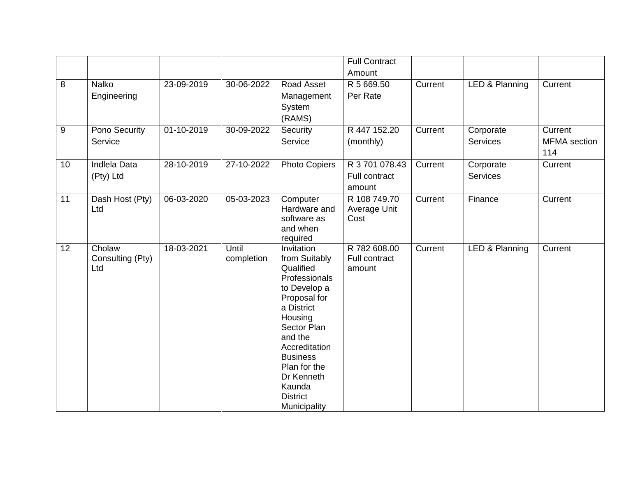|                 |                                   |              |                     |                                                                                                                                                                                                                                                             | <b>Full Contract</b>                      |         |                              |                                       |
|-----------------|-----------------------------------|--------------|---------------------|-------------------------------------------------------------------------------------------------------------------------------------------------------------------------------------------------------------------------------------------------------------|-------------------------------------------|---------|------------------------------|---------------------------------------|
|                 |                                   |              |                     |                                                                                                                                                                                                                                                             | Amount                                    |         |                              |                                       |
| 8               | Nalko<br>Engineering              | 23-09-2019   | 30-06-2022          | Road Asset<br>Management<br>System<br>(RAMS)                                                                                                                                                                                                                | R 5 669.50<br>Per Rate                    | Current | LED & Planning               | Current                               |
| 9               | Pono Security<br>Service          | 01-10-2019   | 30-09-2022          | Security<br>Service                                                                                                                                                                                                                                         | R 447 152.20<br>(monthly)                 | Current | Corporate<br><b>Services</b> | Current<br><b>MFMA</b> section<br>114 |
| 10              | Indlela Data<br>(Pty) Ltd         | 28-10-2019   | 27-10-2022          | <b>Photo Copiers</b>                                                                                                                                                                                                                                        | R 3 701 078.43<br>Full contract<br>amount | Current | Corporate<br>Services        | Current                               |
| 11              | Dash Host (Pty)<br>Ltd            | 06-03-2020   | 05-03-2023          | Computer<br>Hardware and<br>software as<br>and when<br>required                                                                                                                                                                                             | R 108 749.70<br>Average Unit<br>Cost      | Current | Finance                      | Current                               |
| 12 <sub>2</sub> | Cholaw<br>Consulting (Pty)<br>Ltd | $18-03-2021$ | Until<br>completion | Invitation<br>from Suitably<br>Qualified<br>Professionals<br>to Develop a<br>Proposal for<br>a District<br>Housing<br>Sector Plan<br>and the<br>Accreditation<br><b>Business</b><br>Plan for the<br>Dr Kenneth<br>Kaunda<br><b>District</b><br>Municipality | R 782 608.00<br>Full contract<br>amount   | Current | LED & Planning               | Current                               |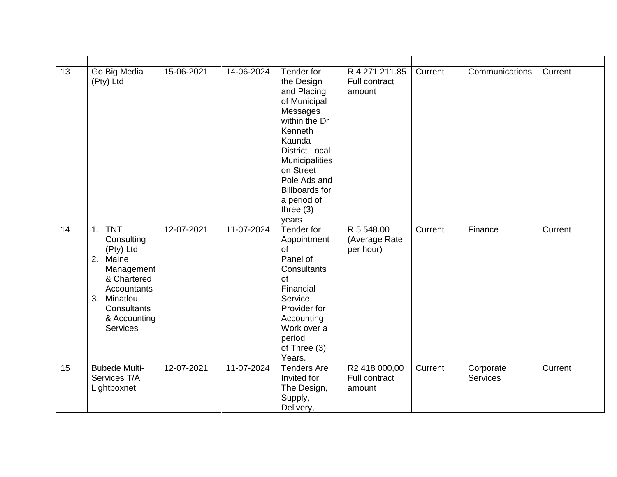| 13 | Go Big Media<br>(Pty) Ltd                                                                                                                                        | 15-06-2021 | 14-06-2024 | Tender for<br>the Design<br>and Placing<br>of Municipal<br>Messages<br>within the Dr<br>Kenneth<br>Kaunda<br><b>District Local</b><br>Municipalities<br>on Street<br>Pole Ads and<br><b>Billboards for</b><br>a period of<br>three $(3)$<br>years | R 4 271 211.85<br>Full contract<br>amount | Current | Communications               | Current |
|----|------------------------------------------------------------------------------------------------------------------------------------------------------------------|------------|------------|---------------------------------------------------------------------------------------------------------------------------------------------------------------------------------------------------------------------------------------------------|-------------------------------------------|---------|------------------------------|---------|
| 14 | 1. TNT<br>Consulting<br>(Pty) Ltd<br>2.<br>Maine<br>Management<br>& Chartered<br>Accountants<br>Minatlou<br>3.<br>Consultants<br>& Accounting<br><b>Services</b> | 12-07-2021 | 11-07-2024 | Tender for<br>Appointment<br>of<br>Panel of<br>Consultants<br>of<br>Financial<br>Service<br>Provider for<br>Accounting<br>Work over a<br>period<br>of Three (3)<br>Years.                                                                         | R 5 548.00<br>(Average Rate<br>per hour)  | Current | Finance                      | Current |
| 15 | <b>Bubede Multi-</b><br>Services T/A<br>Lightboxnet                                                                                                              | 12-07-2021 | 11-07-2024 | <b>Tenders Are</b><br>Invited for<br>The Design,<br>Supply,<br>Delivery,                                                                                                                                                                          | R2 418 000,00<br>Full contract<br>amount  | Current | Corporate<br><b>Services</b> | Current |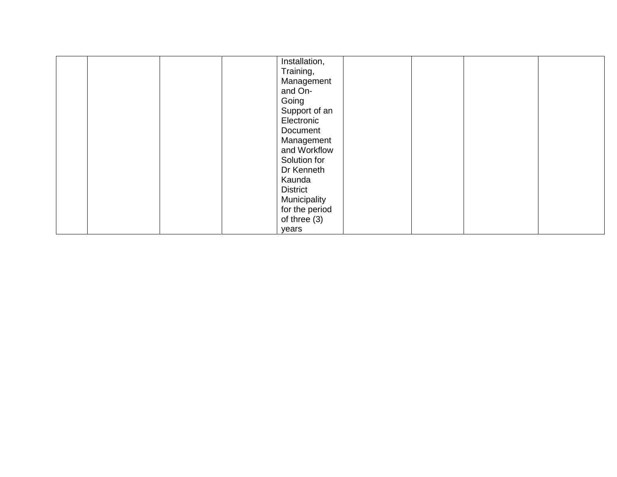|  |  | Installation,   |  |  |
|--|--|-----------------|--|--|
|  |  | Training,       |  |  |
|  |  | Management      |  |  |
|  |  | and On-         |  |  |
|  |  | Going           |  |  |
|  |  | Support of an   |  |  |
|  |  | Electronic      |  |  |
|  |  | Document        |  |  |
|  |  | Management      |  |  |
|  |  | and Workflow    |  |  |
|  |  | Solution for    |  |  |
|  |  | Dr Kenneth      |  |  |
|  |  | Kaunda          |  |  |
|  |  | <b>District</b> |  |  |
|  |  | Municipality    |  |  |
|  |  | for the period  |  |  |
|  |  | of three $(3)$  |  |  |
|  |  | years           |  |  |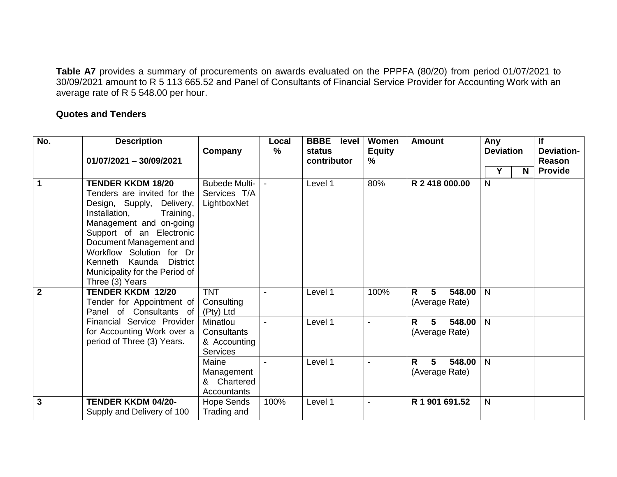**Table A7** provides a summary of procurements on awards evaluated on the PPPFA (80/20) from period 01/07/2021 to 30/09/2021 amount to R 5 113 665.52 and Panel of Consultants of Financial Service Provider for Accounting Work with an average rate of R 5 548.00 per hour.

#### **Quotes and Tenders**

| No.            | <b>Description</b><br>$01/07/2021 - 30/09/2021$                                                                                                                                                                                                                                                                            | Company                                                    | Local<br>$\%$ | <b>BBBE</b><br>level<br>status<br>contributor | Women<br><b>Equity</b><br>% | <b>Amount</b>                                               | Any<br><b>Deviation</b><br>Y<br>N | If<br><b>Deviation-</b><br><b>Reason</b><br><b>Provide</b> |
|----------------|----------------------------------------------------------------------------------------------------------------------------------------------------------------------------------------------------------------------------------------------------------------------------------------------------------------------------|------------------------------------------------------------|---------------|-----------------------------------------------|-----------------------------|-------------------------------------------------------------|-----------------------------------|------------------------------------------------------------|
| $\overline{1}$ | <b>TENDER KKDM 18/20</b><br>Tenders are invited for the<br>Design, Supply, Delivery,<br>Installation,<br>Training,<br>Management and on-going<br>Support of an Electronic<br>Document Management and<br>Workflow Solution for Dr<br>Kenneth Kaunda<br><b>District</b><br>Municipality for the Period of<br>Three (3) Years | <b>Bubede Multi-</b><br>Services T/A<br>LightboxNet        |               | Level 1                                       | 80%                         | R 2 418 000,00                                              | $\mathsf{N}$                      |                                                            |
| $\overline{2}$ | <b>TENDER KKDM 12/20</b><br>Tender for Appointment of<br>Panel of Consultants of                                                                                                                                                                                                                                           | <b>TNT</b><br>Consulting<br>(Pty) Ltd                      |               | Level 1                                       | 100%                        | $\overline{5}$<br>548.00<br>$\mathsf{R}$<br>(Average Rate)  | N                                 |                                                            |
|                | Financial Service Provider<br>for Accounting Work over a<br>period of Three (3) Years.                                                                                                                                                                                                                                     | Minatlou<br>Consultants<br>& Accounting<br><b>Services</b> |               | Level 1                                       |                             | $5\phantom{.0}$<br>$\mathsf{R}$<br>548.00<br>(Average Rate) | N                                 |                                                            |
|                |                                                                                                                                                                                                                                                                                                                            | Maine<br>Management<br>Chartered<br>&<br>Accountants       |               | Level 1                                       | $\blacksquare$              | $\overline{5}$<br>548.00<br>$\mathsf{R}$<br>(Average Rate)  | $\overline{N}$                    |                                                            |
| $\overline{3}$ | <b>TENDER KKDM 04/20-</b><br>Supply and Delivery of 100                                                                                                                                                                                                                                                                    | Hope Sends<br>Trading and                                  | 100%          | Level 1                                       | $\blacksquare$              | R 1 901 691.52                                              | N                                 |                                                            |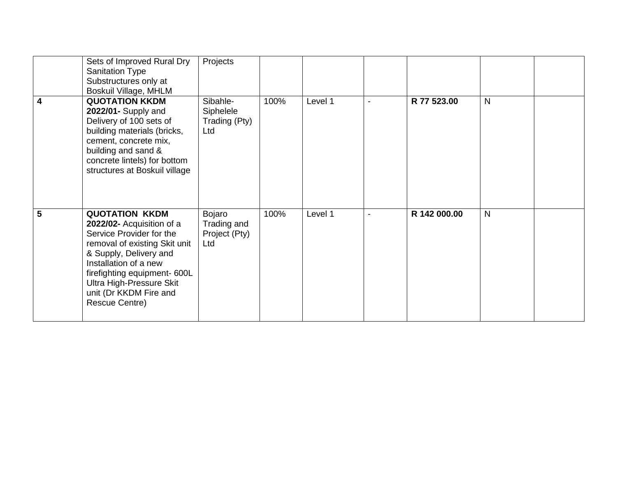|                | Sets of Improved Rural Dry<br><b>Sanitation Type</b><br>Substructures only at<br>Boskuil Village, MHLM                                                                                                                                                                     | Projects                                      |      |         |                |              |              |  |
|----------------|----------------------------------------------------------------------------------------------------------------------------------------------------------------------------------------------------------------------------------------------------------------------------|-----------------------------------------------|------|---------|----------------|--------------|--------------|--|
| $\overline{4}$ | <b>QUOTATION KKDM</b><br>2022/01- Supply and<br>Delivery of 100 sets of<br>building materials (bricks,<br>cement, concrete mix,<br>building and sand &<br>concrete lintels) for bottom<br>structures at Boskuil village                                                    | Sibahle-<br>Siphelele<br>Trading (Pty)<br>Ltd | 100% | Level 1 | $\blacksquare$ | R 77 523.00  | $\mathsf{N}$ |  |
| 5              | <b>QUOTATION KKDM</b><br>2022/02- Acquisition of a<br>Service Provider for the<br>removal of existing Skit unit<br>& Supply, Delivery and<br>Installation of a new<br>firefighting equipment- 600L<br>Ultra High-Pressure Skit<br>unit (Dr KKDM Fire and<br>Rescue Centre) | Bojaro<br>Trading and<br>Project (Pty)<br>Ltd | 100% | Level 1 | $\blacksquare$ | R 142 000.00 | N            |  |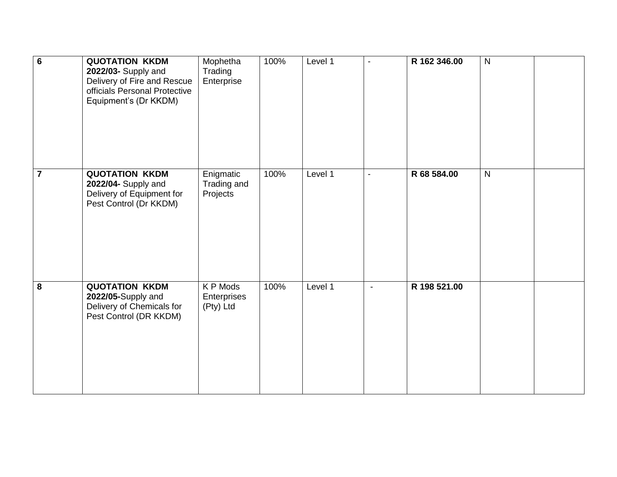| $\overline{6}$ | <b>QUOTATION KKDM</b><br>2022/03- Supply and<br>Delivery of Fire and Rescue<br>officials Personal Protective<br>Equipment's (Dr KKDM) | Mophetha<br>Trading<br>Enterprise    | 100% | Level 1 | $\blacksquare$ | R 162 346.00 | $\mathsf{N}$ |  |
|----------------|---------------------------------------------------------------------------------------------------------------------------------------|--------------------------------------|------|---------|----------------|--------------|--------------|--|
| $\overline{7}$ | <b>QUOTATION KKDM</b><br>2022/04- Supply and<br>Delivery of Equipment for<br>Pest Control (Dr KKDM)                                   | Enigmatic<br>Trading and<br>Projects | 100% | Level 1 | $\blacksquare$ | R 68 584.00  | $\mathsf{N}$ |  |
| 8              | <b>QUOTATION KKDM</b><br>2022/05-Supply and<br>Delivery of Chemicals for<br>Pest Control (DR KKDM)                                    | K P Mods<br>Enterprises<br>(Pty) Ltd | 100% | Level 1 | $\blacksquare$ | R 198 521.00 |              |  |